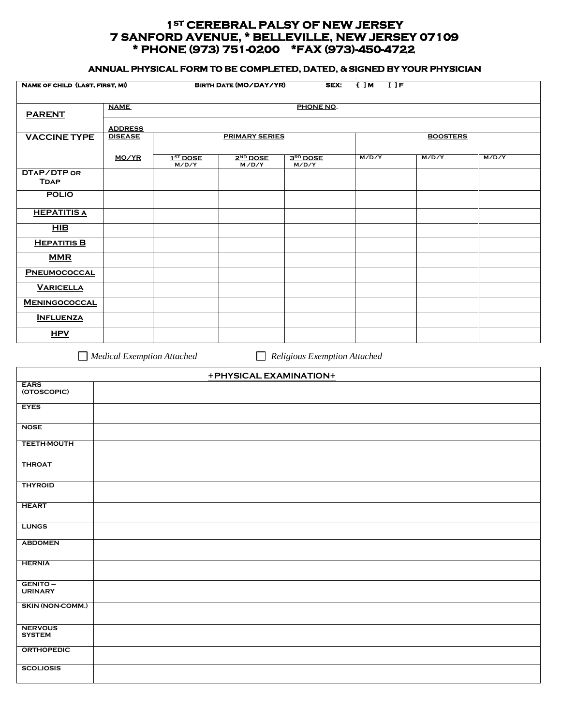## **1ST CEREBRAL PALSY OF NEW JERSEY 7 SANFORD AVENUE, \* BELLEVILLE, NEW JERSEY 07109 \* PHONE (973) 751-0200 \*FAX (973)-450-4722**

## **ANNUAL PHYSICAL FORM TO BE COMPLETED, DATED, & SIGNED BY YOUR PHYSICIAN**

| NAME OF CHILD (LAST, FIRST, MI)  |                | <b>BIRTH DATE (MO/DAY/YR)</b><br>SEX:<br>( IM<br>$I$ $I$ $F$ |                                 |                   |                 |       |       |  |  |
|----------------------------------|----------------|--------------------------------------------------------------|---------------------------------|-------------------|-----------------|-------|-------|--|--|
| <b>PARENT</b>                    | <b>NAME</b>    | PHONE NO.                                                    |                                 |                   |                 |       |       |  |  |
|                                  | <b>ADDRESS</b> |                                                              |                                 |                   |                 |       |       |  |  |
| <b>VACCINE TYPE</b>              | <b>DISEASE</b> | <b>PRIMARY SERIES</b>                                        |                                 |                   | <b>BOOSTERS</b> |       |       |  |  |
|                                  | MO/YR          | 1 <sup>ST</sup> D OSE<br>M/D/Y                               | 2 <sup>ND</sup> DOSE<br>M / D/Y | 3RD DOSE<br>M/D/Y | M/D/Y           | M/D/Y | M/D/Y |  |  |
| DTAP/DTP OR<br><b>TDAP</b>       |                |                                                              |                                 |                   |                 |       |       |  |  |
| <b>POLIO</b>                     |                |                                                              |                                 |                   |                 |       |       |  |  |
| <b>HEPATITIS A</b>               |                |                                                              |                                 |                   |                 |       |       |  |  |
| HIB                              |                |                                                              |                                 |                   |                 |       |       |  |  |
| <b>HEPATITIS B</b>               |                |                                                              |                                 |                   |                 |       |       |  |  |
| <b>MMR</b>                       |                |                                                              |                                 |                   |                 |       |       |  |  |
| PNEUMOCOCCAL<br><b>VARICELLA</b> |                |                                                              |                                 |                   |                 |       |       |  |  |
| <b>MENINGOCOCCAL</b>             |                |                                                              |                                 |                   |                 |       |       |  |  |
| <b>INFLUENZA</b>                 |                |                                                              |                                 |                   |                 |       |       |  |  |
| <b>HPV</b>                       |                |                                                              |                                 |                   |                 |       |       |  |  |
|                                  |                |                                                              |                                 |                   |                 |       |       |  |  |

*Medical Exemption Attached Religious Exemption Attached* 

| +PHYSICAL EXAMINATION+          |  |  |  |  |  |
|---------------------------------|--|--|--|--|--|
| <b>EARS</b><br>(OTOSCOPIC)      |  |  |  |  |  |
| <b>EYES</b>                     |  |  |  |  |  |
| <b>NOSE</b>                     |  |  |  |  |  |
| <b>TEETH-MOUTH</b>              |  |  |  |  |  |
| <b>THROAT</b>                   |  |  |  |  |  |
| <b>THYROID</b>                  |  |  |  |  |  |
| <b>HEART</b>                    |  |  |  |  |  |
| <b>LUNGS</b>                    |  |  |  |  |  |
| <b>ABDOMEN</b>                  |  |  |  |  |  |
| <b>HERNIA</b>                   |  |  |  |  |  |
| GENITO-<br><b>URINARY</b>       |  |  |  |  |  |
| <b>SKIN (NON-COMM.)</b>         |  |  |  |  |  |
| <b>NERVOUS</b><br><b>SYSTEM</b> |  |  |  |  |  |
| <b>ORTHOPEDIC</b>               |  |  |  |  |  |
| <b>SCOLIOSIS</b>                |  |  |  |  |  |